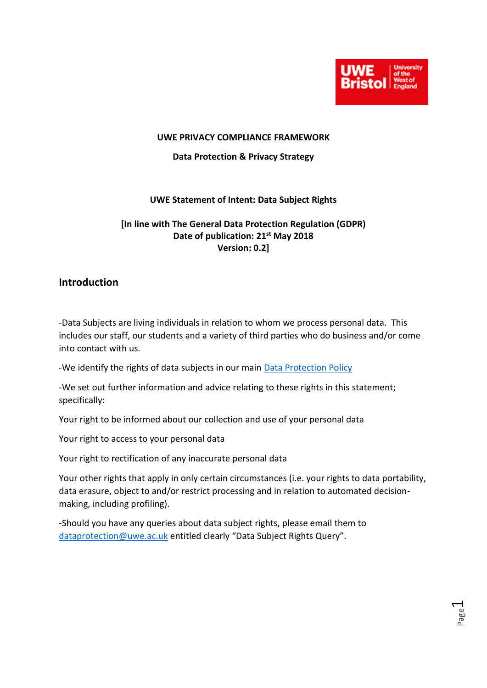

Page  $\overline{\phantom{0}}$ 

#### **UWE PRIVACY COMPLIANCE FRAMEWORK**

#### **Data Protection & Privacy Strategy**

### **UWE Statement of Intent: Data Subject Rights**

## **[In line with The General Data Protection Regulation (GDPR) Date of publication: 21st May 2018 Version: 0.2]**

## **Introduction**

-Data Subjects are living individuals in relation to whom we process personal data. This includes our staff, our students and a variety of third parties who do business and/or come into contact with us.

-We identify the rights of data subjects in our main [Data Protection Policy](http://www2.uwe.ac.uk/services/Marketing/about-us/pdf/Policies/Data-Protection-Policy.pdf)

-We set out further information and advice relating to these rights in this statement; specifically:

Your right to be informed about our collection and use of your personal data

Your right to access to your personal data

Your right to rectification of any inaccurate personal data

Your other rights that apply in only certain circumstances (i.e. your rights to data portability, data erasure, object to and/or restrict processing and in relation to automated decisionmaking, including profiling).

-Should you have any queries about data subject rights, please email them to [dataprotection@uwe.ac.uk](mailto:dataprotection@uwe.ac.uk) entitled clearly "Data Subject Rights Query".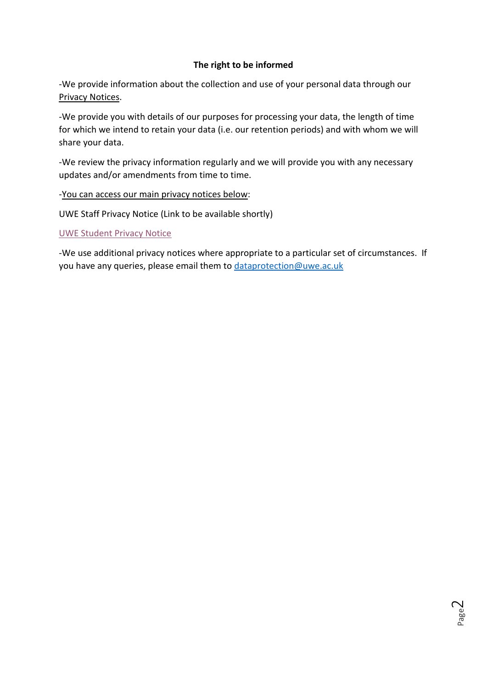## **The right to be informed**

-We provide information about the collection and use of your personal data through our Privacy Notices.

-We provide you with details of our purposes for processing your data, the length of time for which we intend to retain your data (i.e. our retention periods) and with whom we will share your data.

-We review the privacy information regularly and we will provide you with any necessary updates and/or amendments from time to time.

## -You can access our main privacy notices below:

UWE Staff Privacy Notice (Link to be available shortly)

### [UWE Student Privacy Notice](http://www2.uwe.ac.uk/services/Marketing/about-us/pdf/Policies/Student-data-Privacy-Notice.pdf)

-We use additional privacy notices where appropriate to a particular set of circumstances. If you have any queries, please email them to [dataprotection@uwe.ac.uk](mailto:dataprotection@uwe.ac.uk)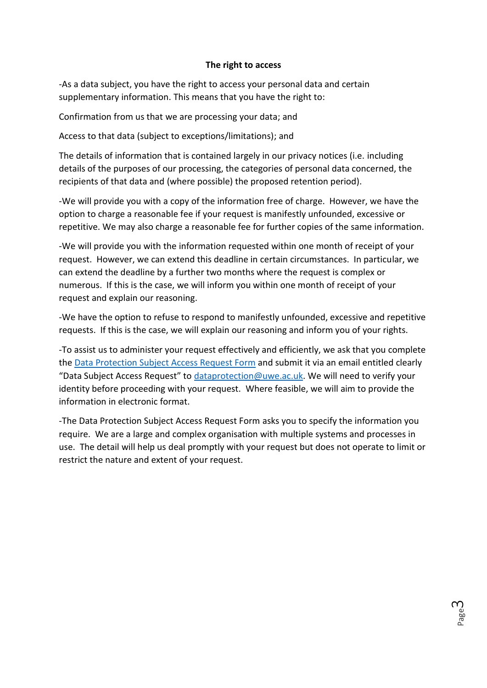### **The right to access**

-As a data subject, you have the right to access your personal data and certain supplementary information. This means that you have the right to:

Confirmation from us that we are processing your data; and

Access to that data (subject to exceptions/limitations); and

The details of information that is contained largely in our privacy notices (i.e. including details of the purposes of our processing, the categories of personal data concerned, the recipients of that data and (where possible) the proposed retention period).

-We will provide you with a copy of the information free of charge. However, we have the option to charge a reasonable fee if your request is manifestly unfounded, excessive or repetitive. We may also charge a reasonable fee for further copies of the same information.

-We will provide you with the information requested within one month of receipt of your request. However, we can extend this deadline in certain circumstances. In particular, we can extend the deadline by a further two months where the request is complex or numerous. If this is the case, we will inform you within one month of receipt of your request and explain our reasoning.

-We have the option to refuse to respond to manifestly unfounded, excessive and repetitive requests. If this is the case, we will explain our reasoning and inform you of your rights.

-To assist us to administer your request effectively and efficiently, we ask that you complete the [Data Protection Subject Access Request Form](http://www2.uwe.ac.uk/services/Marketing/about-us/pdf/DPLUAccess.pdf) and submit it via an email entitled clearly "Data Subject Access Request" to [dataprotection@uwe.ac.uk.](mailto:dataprotection@uwe.ac.uk) We will need to verify your identity before proceeding with your request. Where feasible, we will aim to provide the information in electronic format.

-The Data Protection Subject Access Request Form asks you to specify the information you require. We are a large and complex organisation with multiple systems and processes in use. The detail will help us deal promptly with your request but does not operate to limit or restrict the nature and extent of your request.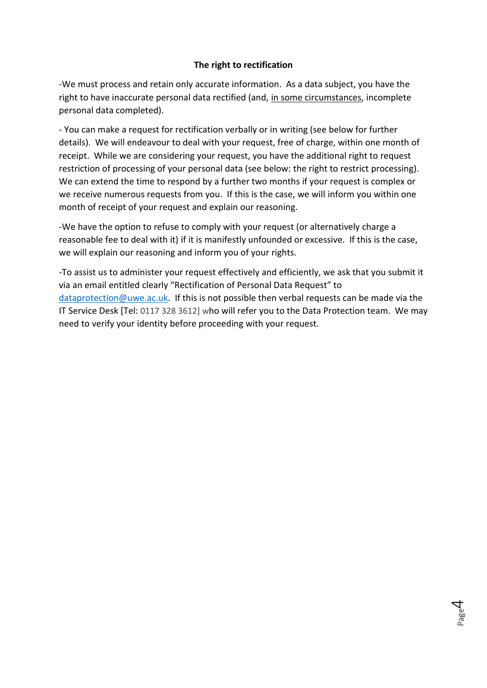## **The right to rectification**

-We must process and retain only accurate information. As a data subject, you have the right to have inaccurate personal data rectified (and, in some circumstances, incomplete personal data completed).

- You can make a request for rectification verbally or in writing (see below for further details). We will endeavour to deal with your request, free of charge, within one month of receipt. While we are considering your request, you have the additional right to request restriction of processing of your personal data (see below: the right to restrict processing). We can extend the time to respond by a further two months if your request is complex or we receive numerous requests from you. If this is the case, we will inform you within one month of receipt of your request and explain our reasoning.

-We have the option to refuse to comply with your request (or alternatively charge a reasonable fee to deal with it) if it is manifestly unfounded or excessive. If this is the case, we will explain our reasoning and inform you of your rights.

-To assist us to administer your request effectively and efficiently, we ask that you submit it via an email entitled clearly "Rectification of Personal Data Request" to [dataprotection@uwe.ac.uk.](mailto:dataprotection@uwe.ac.uk) If this is not possible then verbal requests can be made via the IT Service Desk [Tel: 0117 328 3612] who will refer you to the Data Protection team. We may need to verify your identity before proceeding with your request.

Page 4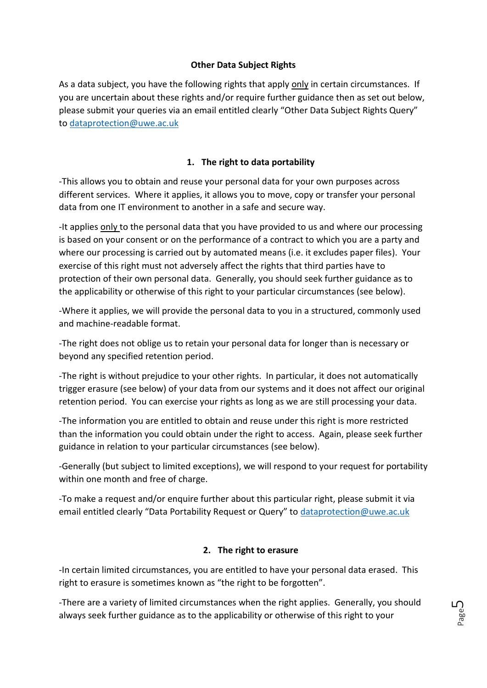## **Other Data Subject Rights**

As a data subject, you have the following rights that apply only in certain circumstances. If you are uncertain about these rights and/or require further guidance then as set out below, please submit your queries via an email entitled clearly "Other Data Subject Rights Query" to [dataprotection@uwe.ac.uk](mailto:dataprotection@uwe.ac.uk)

## **1. The right to data portability**

-This allows you to obtain and reuse your personal data for your own purposes across different services. Where it applies, it allows you to move, copy or transfer your personal data from one IT environment to another in a safe and secure way.

-It applies only to the personal data that you have provided to us and where our processing is based on your consent or on the performance of a contract to which you are a party and where our processing is carried out by automated means (i.e. it excludes paper files). Your exercise of this right must not adversely affect the rights that third parties have to protection of their own personal data. Generally, you should seek further guidance as to the applicability or otherwise of this right to your particular circumstances (see below).

-Where it applies, we will provide the personal data to you in a structured, commonly used and machine-readable format.

-The right does not oblige us to retain your personal data for longer than is necessary or beyond any specified retention period.

-The right is without prejudice to your other rights. In particular, it does not automatically trigger erasure (see below) of your data from our systems and it does not affect our original retention period. You can exercise your rights as long as we are still processing your data.

-The information you are entitled to obtain and reuse under this right is more restricted than the information you could obtain under the right to access. Again, please seek further guidance in relation to your particular circumstances (see below).

-Generally (but subject to limited exceptions), we will respond to your request for portability within one month and free of charge.

-To make a request and/or enquire further about this particular right, please submit it via email entitled clearly "Data Portability Request or Query" to [dataprotection@uwe.ac.uk](mailto:dataprotection@uwe.ac.uk)

## **2. The right to erasure**

-In certain limited circumstances, you are entitled to have your personal data erased. This right to erasure is sometimes known as "the right to be forgotten".

-There are a variety of limited circumstances when the right applies. Generally, you should always seek further guidance as to the applicability or otherwise of this right to your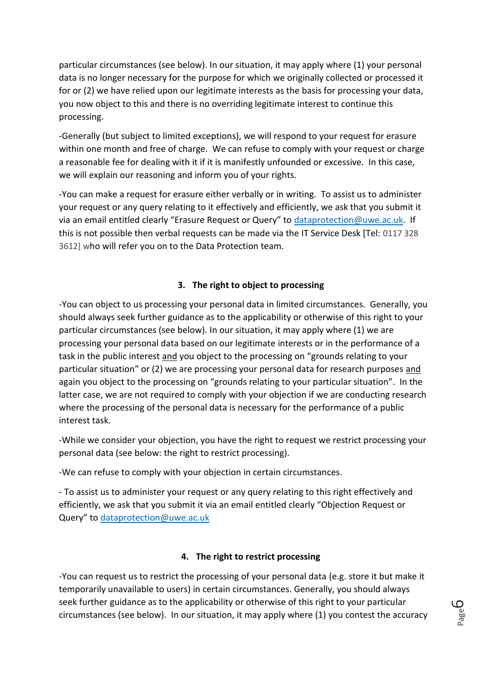particular circumstances (see below). In our situation, it may apply where (1) your personal data is no longer necessary for the purpose for which we originally collected or processed it for or (2) we have relied upon our legitimate interests as the basis for processing your data, you now object to this and there is no overriding legitimate interest to continue this processing.

-Generally (but subject to limited exceptions), we will respond to your request for erasure within one month and free of charge. We can refuse to comply with your request or charge a reasonable fee for dealing with it if it is manifestly unfounded or excessive. In this case, we will explain our reasoning and inform you of your rights.

-You can make a request for erasure either verbally or in writing. To assist us to administer your request or any query relating to it effectively and efficiently, we ask that you submit it via an email entitled clearly "Erasure Request or Query" to [dataprotection@uwe.ac.uk.](mailto:dataprotection@uwe.ac.uk) If this is not possible then verbal requests can be made via the IT Service Desk [Tel: 0117 328 3612] who will refer you on to the Data Protection team.

# **3. The right to object to processing**

-You can object to us processing your personal data in limited circumstances. Generally, you should always seek further guidance as to the applicability or otherwise of this right to your particular circumstances (see below). In our situation, it may apply where (1) we are processing your personal data based on our legitimate interests or in the performance of a task in the public interest and you object to the processing on "grounds relating to your particular situation" or (2) we are processing your personal data for research purposes and again you object to the processing on "grounds relating to your particular situation". In the latter case, we are not required to comply with your objection if we are conducting research where the processing of the personal data is necessary for the performance of a public interest task.

-While we consider your objection, you have the right to request we restrict processing your personal data (see below: the right to restrict processing).

-We can refuse to comply with your objection in certain circumstances.

- To assist us to administer your request or any query relating to this right effectively and efficiently, we ask that you submit it via an email entitled clearly "Objection Request or Query" to [dataprotection@uwe.ac.uk](mailto:dataprotection@uwe.ac.uk)

## **4. The right to restrict processing**

-You can request us to restrict the processing of your personal data (e.g. store it but make it temporarily unavailable to users) in certain circumstances. Generally, you should always seek further guidance as to the applicability or otherwise of this right to your particular circumstances (see below). In our situation, it may apply where (1) you contest the accuracy